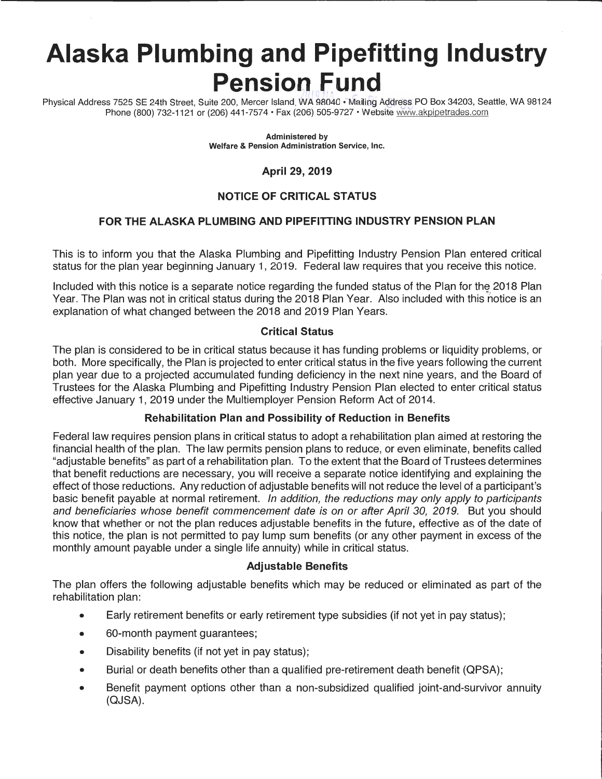# **Alaska Plumbing and Pipefitting Industry Pension Fund**  $7.1.0$  ,  $8.8.0$  ,  $7.7.7$

Physical Address 7525 SE 24th Street, Suite 200, Mercer Island, WA 98040 • Mailing Address PO Box 34203, Seattle, WA 98124 Phone (800) 732-1121 or (206) 441-7574 • Fax (206) 505-9727 • Website www.akpipetrades.com

> **Administered by Welfare** & **Pension Administration Service, Inc.**

## **April 29, 2019**

# **NOTICE OF CRITICAL STATUS**

## **FOR THE ALASKA PLUMBING AND PIPEFITTING INDUSTRY PENSION PLAN**

This is to inform you that the Alaska Plumbing and Pipefitting Industry Pension Plan entered critical status for the plan year beginning January 1, 2019. Federal law requires that you receive this notice.

Included with this notice is a separate notice regarding the funded status of the Plan for the 2018 Plan Year. The Plan was not in critical status during the 2018 Plan Year. Also included with this notice is an explanation of what changed between the 2018 and 2019 Plan Years.

#### **Critical Status**

The plan is considered to be in critical status because it has funding problems or liquidity problems, or both. More specifically, the Plan is projected to enter critical status in the five years following the current plan year due to a projected accumulated funding deficiency in the next nine years, and the Board of Trustees for the Alaska Plumbing and Pipefitting Industry Pension Plan elected to enter critical status effective January 1, 2019 under the Multiemployer Pension Reform Act of 2014.

### **Rehabilitation Plan and Possibility of Reduction in Benefits**

Federal law requires pension plans in critical status to adopt a rehabilitation plan aimed at restoring the financial health of the plan. The law permits pension plans to reduce, or even eliminate, benefits called "adjustable benefits" as part of a rehabilitation plan. To the extent that the Board of Trustees determines that benefit reductions are necessary, you will receive a separate notice identifying and explaining the effect of those reductions. Any reduction of adjustable benefits will not reduce the level of a participant's basic benefit payable at normal retirement. In addition, the reductions may only apply to participants and beneficiaries whose benefit commencement date is on or after April 30, 2019. But you should know that whether or not the plan reduces adjustable benefits in the future, effective as of the date of this notice, the plan is not permitted to pay lump sum benefits (or any other payment in excess of the monthly amount payable under a single life annuity) while in critical status.

#### **Adjustable Benefits**

The plan offers the following adjustable benefits which may be reduced or eliminated as part of the rehabilitation plan:

- Early retirement benefits or early retirement type subsidies (if not yet in pay status);
- 60-month payment guarantees;
- Disability benefits (if not yet in pay status);
- Burial or death benefits other than a qualified pre-retirement death benefit (QPSA);
- Benefit payment options other than a non-subsidized qualified joint-and-survivor annuity (QJSA).